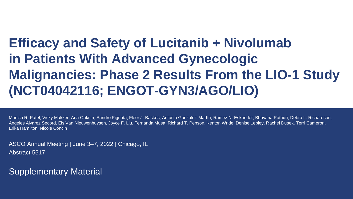## **Efficacy and Safety of Lucitanib + Nivolumab in Patients With Advanced Gynecologic Malignancies: Phase 2 Results From the LIO-1 Study (NCT04042116; ENGOT-GYN3/AGO/LIO)**

Manish R. Patel, Vicky Makker, Ana Oaknin, Sandro Pignata, Floor J. Backes, Antonio González-Martín, Ramez N. Eskander, Bhavana Pothuri, Debra L. Richardson, Angeles Alvarez Secord, Els Van Nieuwenhuysen, Joyce F. Liu, Fernanda Musa, Richard T. Penson, Kenton Wride, Denise Lepley, Rachel Dusek, Terri Cameron, Erika Hamilton, Nicole Concin

ASCO Annual Meeting | June 3–7, 2022 | Chicago, IL Abstract 5517

Supplementary Material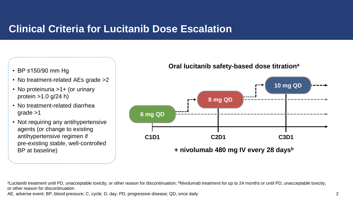## **Clinical Criteria for Lucitanib Dose Escalation**

- BP ≤150/90 mm Hg
- No treatment-related AEs grade > 2
- No proteinuria >1+ (or urinary protein >1.0 g/24 h)
- No treatment-related diarrhea grade >1
- Not requiring any antihypertensive agents (or change to existing antihypertensive regimen if pre-existing stable, well-controlled BP at baseline)

**Oral lucitanib safety-based dose titrationa**



aLucitanib treatment until PD, unacceptable toxicity, or other reason for discontinuation; <sup>b</sup>Nivolumab treatment for up to 24 months or until PD, unacceptable toxicity, or other reason for discontinuation.

AE, adverse event; BP, blood pressure; C, cycle; D, day; PD, progressive disease; QD, once daily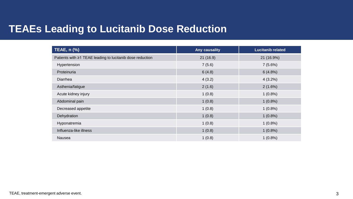## **TEAEs Leading to Lucitanib Dose Reduction**

| <b>TEAE, n (%)</b>                                        | <b>Any causality</b> | <b>Lucitanib related</b> |
|-----------------------------------------------------------|----------------------|--------------------------|
| Patients with ≥1 TEAE leading to lucitanib dose reduction | 21(16.9)             | 21 (16.9%)               |
| Hypertension                                              | 7(5.6)               | 7(5.6%)                  |
| Proteinuria                                               | 6(4.8)               | 6(4.8%)                  |
| Diarrhea                                                  | 4(3.2)               | $4(3.2\%)$               |
| Asthenia/fatigue                                          | 2(1.6)               | 2(1.6%)                  |
| Acute kidney injury                                       | 1(0.8)               | $1(0.8\%)$               |
| Abdominal pain                                            | 1(0.8)               | $1(0.8\%)$               |
| Decreased appetite                                        | 1(0.8)               | $1(0.8\%)$               |
| Dehydration                                               | 1(0.8)               | $1(0.8\%)$               |
| Hyponatremia                                              | 1(0.8)               | $1(0.8\%)$               |
| Influenza-like illness                                    | 1(0.8)               | $1(0.8\%)$               |
| Nausea                                                    | 1(0.8)               | $1(0.8\%)$               |